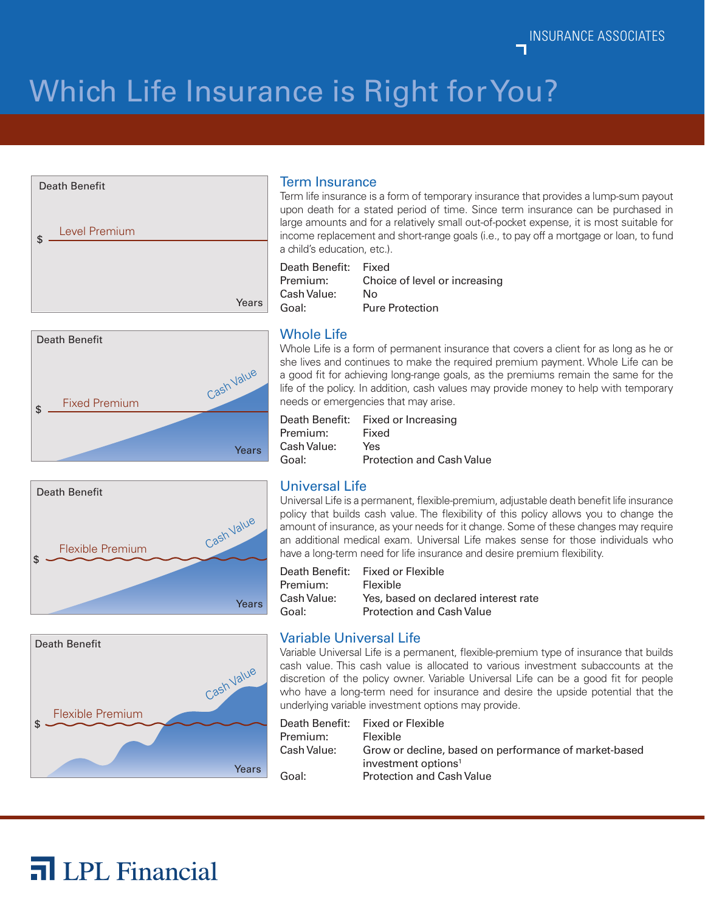INSURANCE ASSOCIATES

# Which Life Insurance is Right for You?









#### Term Insurance

Term life insurance is a form of temporary insurance that provides a lump-sum payout upon death for a stated period of time. Since term insurance can be purchased in large amounts and for a relatively small out-of-pocket expense, it is most suitable for income replacement and short-range goals (i.e., to pay off a mortgage or loan, to fund a child's education, etc.).

Death Benefit: Fixed Premium: Choice of level or increasing Cash Value: No Goal: Pure Protection

### Whole Life

Whole Life is a form of permanent insurance that covers a client for as long as he or she lives and continues to make the required premium payment. Whole Life can be a good fit for achieving long-range goals, as the premiums remain the same for the life of the policy. In addition, cash values may provide money to help with temporary needs or emergencies that may arise.

| Fixed or Increasing              |
|----------------------------------|
| Fixed                            |
| Yes                              |
| <b>Protection and Cash Value</b> |
|                                  |

#### Universal Life

Universal Life is a permanent, flexible-premium, adjustable death benefit life insurance policy that builds cash value. The flexibility of this policy allows you to change the amount of insurance, as your needs for it change. Some of these changes may require an additional medical exam. Universal Life makes sense for those individuals who have a long-term need for life insurance and desire premium flexibility.

Death Benefit: Fixed or Flexible Premium: Flexible Cash Value: Yes, based on declared interest rate Goal: Protection and Cash Value

#### Variable Universal Life

Variable Universal Life is a permanent, flexible-premium type of insurance that builds cash value. This cash value is allocated to various investment subaccounts at the discretion of the policy owner. Variable Universal Life can be a good fit for people who have a long-term need for insurance and desire the upside potential that the underlying variable investment options may provide.

|             | Death Benefit:     Fixed or Flexible                                                     |
|-------------|------------------------------------------------------------------------------------------|
| Premium:    | <b>Flexible</b>                                                                          |
| Cash Value: | Grow or decline, based on performance of market-based<br>investment options <sup>1</sup> |
| Goal:       | <b>Protection and Cash Value</b>                                                         |



Flexible Premium